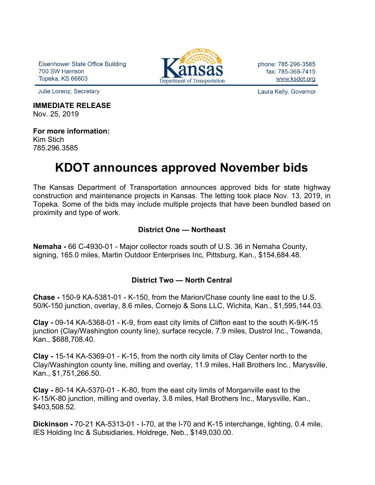Eisenhower State Office Building 700 SW Harrison **Topeka, KS 66603** 



#### **IMMEDIATE RELEASE** Nov. 25, 2019

**For more information:** Kim Stich 785.296.3585

# **KDOT announces approved November bids**

The Kansas Department of Transportation announces approved bids for state highway construction and maintenance projects in Kansas. The letting took place Nov. 13, 2019, in Topeka. Some of the bids may include multiple projects that have been bundled based on proximity and type of work.

### **District One — Northeast**

**Nemaha -** 66 C-4930-01 - Major collector roads south of U.S. 36 in Nemaha County, signing, 165.0 miles, Martin Outdoor Enterprises Inc, Pittsburg, Kan., \$154,684.48.

#### **District Two — North Central**

**Chase -** 150-9 KA-5381-01 - K-150, from the Marion/Chase county line east to the U.S. 50/K-150 junction, overlay, 8.6 miles, Cornejo & Sons LLC, Wichita, Kan., \$1,595,144.03.

**Clay -** 09-14 KA-5368-01 - K-9, from east city limits of Clifton east to the south K-9/K-15 junction (Clay/Washington county line), surface recycle, 7.9 miles, Dustrol Inc., Towanda, Kan., \$688,708.40.

**Clay -** 15-14 KA-5369-01 - K-15, from the north city limits of Clay Center north to the Clay/Washington county line, milling and overlay, 11.9 miles, Hall Brothers Inc., Marysville, Kan., \$1,751,266.50.

**Clay -** 80-14 KA-5370-01 - K-80, from the east city limits of Morganville east to the K-15/K-80 junction, milling and overlay, 3.8 miles, Hall Brothers Inc., Marysville, Kan., \$403,508.52.

**Dickinson -** 70-21 KA-5313-01 - I-70, at the I-70 and K-15 interchange, lighting, 0.4 mile, IES Holding Inc & Subsidiaries, Holdrege, Neb., \$149,030.00.



phone: 785-296-3585 fax: 785-368-7415 www.ksdot.org

Laura Kelly, Governor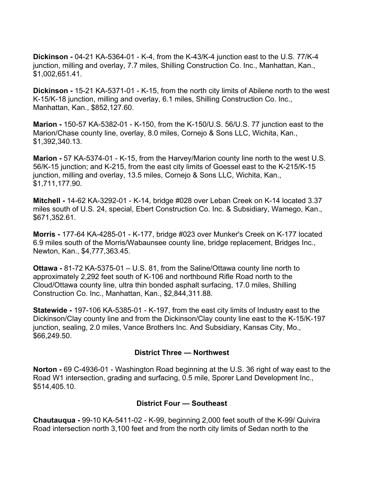**Dickinson -** 04-21 KA-5364-01 - K-4, from the K-43/K-4 junction east to the U.S. 77/K-4 junction, milling and overlay, 7.7 miles, Shilling Construction Co. Inc., Manhattan, Kan., \$1,002,651.41.

**Dickinson -** 15-21 KA-5371-01 - K-15, from the north city limits of Abilene north to the west K-15/K-18 junction, milling and overlay, 6.1 miles, Shilling Construction Co. Inc., Manhattan, Kan., \$852,127.60.

**Marion -** 150-57 KA-5382-01 - K-150, from the K-150/U.S. 56/U.S. 77 junction east to the Marion/Chase county line, overlay, 8.0 miles, Cornejo & Sons LLC, Wichita, Kan., \$1,392,340.13.

**Marion -** 57 KA-5374-01 - K-15, from the Harvey/Marion county line north to the west U.S. 56/K-15 junction; and K-215, from the east city limits of Goessel east to the K-215/K-15 junction, milling and overlay, 13.5 miles, Cornejo & Sons LLC, Wichita, Kan., \$1,711,177.90.

**Mitchell -** 14-62 KA-3292-01 - K-14, bridge #028 over Leban Creek on K-14 located 3.37 miles south of U.S. 24, special, Ebert Construction Co. Inc. & Subsidiary, Wamego, Kan., \$671,352.61.

**Morris -** 177-64 KA-4285-01 - K-177, bridge #023 over Munker's Creek on K-177 located 6.9 miles south of the Morris/Wabaunsee county line, bridge replacement, Bridges Inc., Newton, Kan., \$4,777,363.45.

**Ottawa -** 81-72 KA-5375-01 – U.S. 81, from the Saline/Ottawa county line north to approximately 2,292 feet south of K-106 and northbound Rifle Road north to the Cloud/Ottawa county line, ultra thin bonded asphalt surfacing, 17.0 miles, Shilling Construction Co. Inc., Manhattan, Kan., \$2,844,311.88.

**Statewide -** 197-106 KA-5385-01 - K-197, from the east city limits of Industry east to the Dickinson/Clay county line and from the Dickinson/Clay county line east to the K-15/K-197 junction, sealing, 2.0 miles, Vance Brothers Inc. And Subsidiary, Kansas City, Mo., \$66,249.50.

#### **District Three — Northwest**

**Norton -** 69 C-4936-01 - Washington Road beginning at the U.S. 36 right of way east to the Road W1 intersection, grading and surfacing, 0.5 mile, Sporer Land Development Inc., \$514,405.10.

## **District Four — Southeast**

**Chautauqua -** 99-10 KA-5411-02 - K-99, beginning 2,000 feet south of the K-99/ Quivira Road intersection north 3,100 feet and from the north city limits of Sedan north to the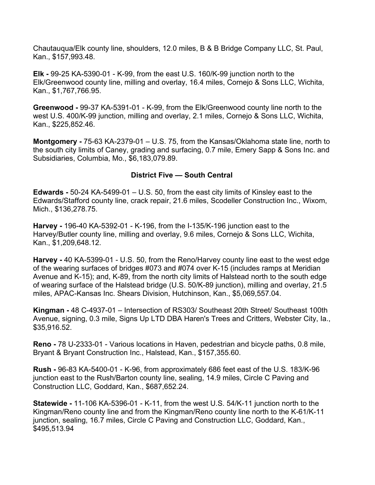Chautauqua/Elk county line, shoulders, 12.0 miles, B & B Bridge Company LLC, St. Paul, Kan., \$157,993.48.

**Elk -** 99-25 KA-5390-01 - K-99, from the east U.S. 160/K-99 junction north to the Elk/Greenwood county line, milling and overlay, 16.4 miles, Cornejo & Sons LLC, Wichita, Kan., \$1,767,766.95.

**Greenwood -** 99-37 KA-5391-01 - K-99, from the Elk/Greenwood county line north to the west U.S. 400/K-99 junction, milling and overlay, 2.1 miles, Cornejo & Sons LLC, Wichita, Kan., \$225,852.46.

**Montgomery -** 75-63 KA-2379-01 – U.S. 75, from the Kansas/Oklahoma state line, north to the south city limits of Caney, grading and surfacing, 0.7 mile, Emery Sapp & Sons Inc. and Subsidiaries, Columbia, Mo., \$6,183,079.89.

#### **District Five — South Central**

**Edwards -** 50-24 KA-5499-01 – U.S. 50, from the east city limits of Kinsley east to the Edwards/Stafford county line, crack repair, 21.6 miles, Scodeller Construction Inc., Wixom, Mich., \$136,278.75.

**Harvey -** 196-40 KA-5392-01 - K-196, from the I-135/K-196 junction east to the Harvey/Butler county line, milling and overlay, 9.6 miles, Cornejo & Sons LLC, Wichita, Kan., \$1,209,648.12.

**Harvey -** 40 KA-5399-01 - U.S. 50, from the Reno/Harvey county line east to the west edge of the wearing surfaces of bridges #073 and #074 over K-15 (includes ramps at Meridian Avenue and K-15); and, K-89, from the north city limits of Halstead north to the south edge of wearing surface of the Halstead bridge (U.S. 50/K-89 junction), milling and overlay, 21.5 miles, APAC-Kansas Inc. Shears Division, Hutchinson, Kan., \$5,069,557.04.

**Kingman -** 48 C-4937-01 – Intersection of RS303/ Southeast 20th Street/ Southeast 100th Avenue, signing, 0.3 mile, Signs Up LTD DBA Haren's Trees and Critters, Webster City, Ia., \$35,916.52.

**Reno -** 78 U-2333-01 - Various locations in Haven, pedestrian and bicycle paths, 0.8 mile, Bryant & Bryant Construction Inc., Halstead, Kan., \$157,355.60.

**Rush -** 96-83 KA-5400-01 - K-96, from approximately 686 feet east of the U.S. 183/K-96 junction east to the Rush/Barton county line, sealing, 14.9 miles, Circle C Paving and Construction LLC, Goddard, Kan., \$687,652.24.

**Statewide -** 11-106 KA-5396-01 - K-11, from the west U.S. 54/K-11 junction north to the Kingman/Reno county line and from the Kingman/Reno county line north to the K-61/K-11 junction, sealing, 16.7 miles, Circle C Paving and Construction LLC, Goddard, Kan., \$495,513.94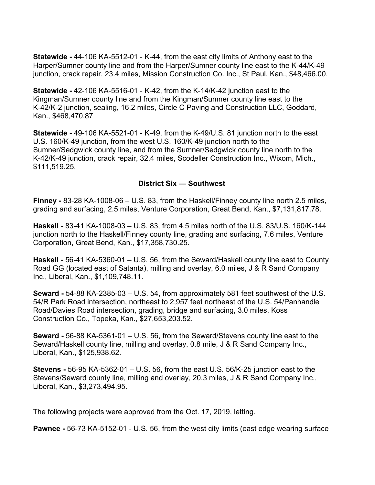**Statewide -** 44-106 KA-5512-01 - K-44, from the east city limits of Anthony east to the Harper/Sumner county line and from the Harper/Sumner county line east to the K-44/K-49 junction, crack repair, 23.4 miles, Mission Construction Co. Inc., St Paul, Kan., \$48,466.00.

**Statewide -** 42-106 KA-5516-01 - K-42, from the K-14/K-42 junction east to the Kingman/Sumner county line and from the Kingman/Sumner county line east to the K-42/K-2 junction, sealing, 16.2 miles, Circle C Paving and Construction LLC, Goddard, Kan., \$468,470.87

**Statewide -** 49-106 KA-5521-01 - K-49, from the K-49/U.S. 81 junction north to the east U.S. 160/K-49 junction, from the west U.S. 160/K-49 junction north to the Sumner/Sedgwick county line, and from the Sumner/Sedgwick county line north to the K-42/K-49 junction, crack repair, 32.4 miles, Scodeller Construction Inc., Wixom, Mich., \$111,519.25.

#### **District Six — Southwest**

**Finney -** 83-28 KA-1008-06 – U.S. 83, from the Haskell/Finney county line north 2.5 miles, grading and surfacing, 2.5 miles, Venture Corporation, Great Bend, Kan., \$7,131,817.78.

**Haskell -** 83-41 KA-1008-03 – U.S. 83, from 4.5 miles north of the U.S. 83/U.S. 160/K-144 junction north to the Haskell/Finney county line, grading and surfacing, 7.6 miles, Venture Corporation, Great Bend, Kan., \$17,358,730.25.

**Haskell -** 56-41 KA-5360-01 – U.S. 56, from the Seward/Haskell county line east to County Road GG (located east of Satanta), milling and overlay, 6.0 miles, J & R Sand Company Inc., Liberal, Kan., \$1,109,748.11.

**Seward -** 54-88 KA-2385-03 – U.S. 54, from approximately 581 feet southwest of the U.S. 54/R Park Road intersection, northeast to 2,957 feet northeast of the U.S. 54/Panhandle Road/Davies Road intersection, grading, bridge and surfacing, 3.0 miles, Koss Construction Co., Topeka, Kan., \$27,653,203.52.

**Seward -** 56-88 KA-5361-01 – U.S. 56, from the Seward/Stevens county line east to the Seward/Haskell county line, milling and overlay, 0.8 mile, J & R Sand Company Inc., Liberal, Kan., \$125,938.62.

**Stevens -** 56-95 KA-5362-01 – U.S. 56, from the east U.S. 56/K-25 junction east to the Stevens/Seward county line, milling and overlay, 20.3 miles, J & R Sand Company Inc., Liberal, Kan., \$3,273,494.95.

The following projects were approved from the Oct. 17, 2019, letting.

**Pawnee -** 56-73 KA-5152-01 - U.S. 56, from the west city limits (east edge wearing surface